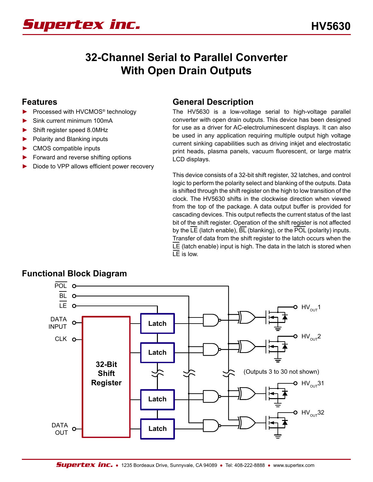*Supertex inc.* 

# **32-Channel Serial to Parallel Converter With Open Drain Outputs**

#### **Features**

- ► Processed with HVCMOS® technology
- ► Sink current minimum 100mA
- ► Shift register speed 8.0MHz
- ► Polarity and Blanking inputs
- ► CMOS compatible inputs
- ► Forward and reverse shifting options
- Diode to VPP allows efficient power recovery

#### **General Description**

The HV5630 is a low-voltage serial to high-voltage parallel converter with open drain outputs. This device has been designed for use as a driver for AC-electroluminescent displays. It can also be used in any application requiring multiple output high voltage current sinking capabilities such as driving inkjet and electrostatic print heads, plasma panels, vacuum fluorescent, or large matrix LCD displays.

This device consists of a 32-bit shift register, 32 latches, and control logic to perform the polarity select and blanking of the outputs. Data is shifted through the shift register on the high to low transition of the clock. The HV5630 shifts in the clockwise direction when viewed from the top of the package. A data output buffer is provided for cascading devices. This output reflects the current status of the last bit of the shift register. Operation of the shift register is not affected by the LE (latch enable),  $\overline{BL}$  (blanking), or the POL (polarity) inputs. Transfer of data from the shift register to the latch occurs when the LE (latch enable) input is high. The data in the latch is stored when LE is low.



#### **Functional Block Diagram**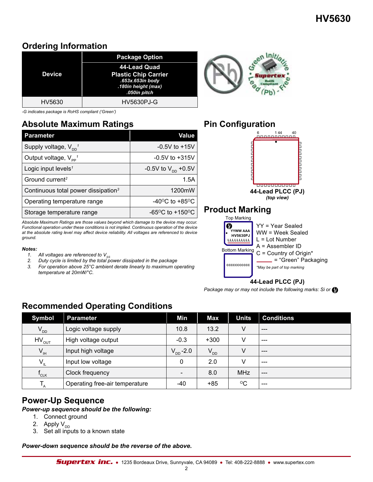### **Ordering Information**

|               | <b>Package Option</b>                                                                  |
|---------------|----------------------------------------------------------------------------------------|
|               | 44-Lead Quad                                                                           |
| <b>Device</b> | <b>Plastic Chip Carrier</b><br>.653x.653in body<br>.180in height (max)<br>.050in pitch |
| HV5630        | <b>HV5630PJ-G</b>                                                                      |



*-G indicates package is RoHS compliant ('Green')*

### **Absolute Maximum Ratings**

| <b>Parameter</b>                                | Value                                                |
|-------------------------------------------------|------------------------------------------------------|
| Supply voltage, $V_{\text{nn}}$ <sup>1</sup>    | $-0.5V$ to $+15V$                                    |
| Output voltage, $V_{\text{pp}}$ <sup>1</sup>    | $-0.5V$ to $+315V$                                   |
| Logic input levels <sup>1</sup>                 | -0.5V to $V_{DD}$ +0.5V                              |
| Ground current <sup>2</sup>                     | 1.5A                                                 |
| Continuous total power dissipation <sup>3</sup> | 1200mW                                               |
| Operating temperature range                     | -40 $\mathrm{^{\circ}C}$ to +85 $\mathrm{^{\circ}C}$ |
| Storage temperature range                       | -65 <sup>o</sup> C to +150 <sup>o</sup> C            |

*Absolute Maximum Ratings are those values beyond which damage to the device may occur. Functional operation under these conditions is not implied. Continuous operation of the device at the absolute rating level may affect device reliability. All voltages are referenced to device ground.*

#### *Notes:*

- 
- *1.* All voltages are referenced to V<sub>ss</sub><br>2. Duty cycle is limited by the total power dissipated in the package
- *3. For operation above 25°C ambient derate linearly to maximum operating temperature at 20mW/°C.*

#### **Pin Configuration**





**44-Lead PLCC (PJ)**

*Package may or may not include the following marks: Si or*

### **Recommended Operating Conditions**

| <b>Symbol</b>                  | <b>Parameter</b>               | Min                      | <b>Max</b> | <b>Units</b> | <b>Conditions</b> |
|--------------------------------|--------------------------------|--------------------------|------------|--------------|-------------------|
| $V_{DD}$                       | Logic voltage supply           | 10.8                     | 13.2       | ٧            | ---               |
| $HV_{OUT}$                     | High voltage output            | $-0.3$                   | $+300$     | ٧            | $- - -$           |
| $V_{\scriptscriptstyle\rm IH}$ | Input high voltage             | $V_{DD} - 2.0$           | $V_{DD}$   | ٧            | $- - -$           |
| $V_{IL}$                       | Input low voltage              | 0                        | 2.0        | ٧            | $- - -$           |
| 'CLK                           | Clock frequency                | $\overline{\phantom{a}}$ | 8.0        | <b>MHz</b>   | $---$             |
| т<br>$\mathbf{A}$              | Operating free-air temperature | -40                      | $+85$      | $\rm ^{O}C$  | $---$             |

#### **Power-Up Sequence**

#### *Power-up sequence should be the following:*

- 1. Connect ground
- 2. Apply  $V_{DD}$
- 3. Set all inputs to a known state

*Power-down sequence should be the reverse of the above.*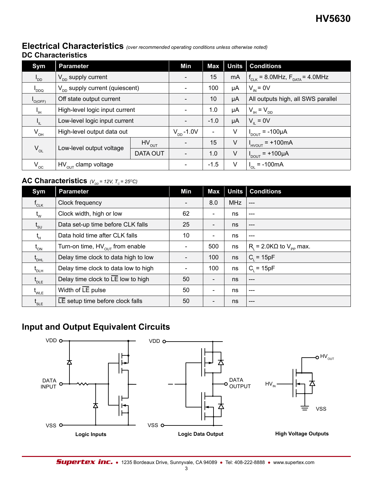#### **Electrical Characteristics** *(over recommended operating conditions unless otherwise noted)* **DC Characteristics**

| Sym                            | <b>Parameter</b>                           | Min                   | Max                      | <b>Units</b> | <b>Conditions</b>                  |                                         |
|--------------------------------|--------------------------------------------|-----------------------|--------------------------|--------------|------------------------------------|-----------------------------------------|
| $I_{DD}$                       | $V_{\text{DD}}$ supply current             |                       |                          | 15           | mA                                 | $f_{CJK}$ = 8.0MHz, $F_{DATA}$ = 4.0MHz |
| $I_{DDQ}$                      | $V_{\text{nn}}$ supply current (quiescent) |                       |                          | 100          | μA                                 | $V_{in} = 0V$                           |
| $IO(OFF)$                      | Off state output current                   |                       | 10                       | μA           | All outputs high, all SWS parallel |                                         |
| $\mathbf{I}_{\text{IH}}$       | High-level logic input current             |                       | 1.0                      | μA           | $V_{\text{H}} = V_{\text{DD}}$     |                                         |
| $I_{\scriptscriptstyle\rm IL}$ | Low-level logic input current              |                       | $-1.0$                   | μA           | $V_{\parallel} = 0V$               |                                         |
| $\mathsf{V}_{\mathsf{OH}}$     | High-level output data out                 | $V_{\text{DD}}$ -1.0V | $\overline{\phantom{a}}$ | V            | $I_{\text{DOUT}}$ = -100µA         |                                         |
|                                |                                            | $HV_{OUT}$            |                          | 15           | $\vee$                             | $= +100mA$<br>$I_{HVOUT}$               |
| $V_{OL}$                       | Low-level output voltage                   | <b>DATA OUT</b>       |                          | 1.0          | $\vee$                             | $I_{DOUT}$ = +100µA                     |
| $V_{\rm oc}$                   | $HV_{OUT}$ clamp voltage                   |                       | $-1.5$                   | V            | $= -100mA$<br>$I_{\Omega}$         |                                         |

## **AC Characteristics**  $(V_{op} = 12V, T_c = 25^{\circ}C)$

| Sym                                          | <b>Parameter</b>                     | Min                      | Max                      | <b>Units</b> | <b>Conditions</b>                    |
|----------------------------------------------|--------------------------------------|--------------------------|--------------------------|--------------|--------------------------------------|
| $\mathsf{f}_{\mathsf{CLK}}^{}$               | Clock frequency                      |                          | 8.0                      | <b>MHz</b>   | ---                                  |
| $t_{w}$                                      | Clock width, high or low             | 62                       | $\overline{\phantom{a}}$ | ns           | ---                                  |
| $\mathfrak{t}_{\text{su}}$                   | Data set-up time before CLK falls    | 25                       | $\overline{\phantom{a}}$ | ns           | $---$                                |
| $t_{\scriptscriptstyle\rm H}$                | Data hold time after CLK falls       | 10                       | $\overline{\phantom{a}}$ | ns           | ---                                  |
| $\mathfrak{t}_{_{\sf ON}}$                   | Turn-on time, $HV_{OUT}$ from enable | $\overline{\phantom{a}}$ | 500                      | ns           | $R_i = 2.0 K\Omega$ to $V_{pp}$ max. |
| $\mathfrak{t}_{_{\sf DHL}}$                  | Delay time clock to data high to low |                          | 100                      | ns           | $C_i = 15pF$                         |
| $\mathfrak{t}_{\scriptscriptstyle{\sf DLH}}$ | Delay time clock to data low to high | $\overline{\phantom{0}}$ | 100                      | ns           | $C_i = 15pF$                         |
| $\mathfrak{t}_{\text{\tiny{DLE}}}$           | Delay time clock to LE low to high   | 50                       | $\overline{\phantom{a}}$ | ns           | $---$                                |
| $t_{\text{WLE}}$                             | Width of $LE$ pulse                  | 50                       | $\overline{\phantom{a}}$ | ns           | ---                                  |
| $\mathfrak{t}_{\texttt{SLE}}$                | LE setup time before clock falls     | 50                       | $\overline{\phantom{a}}$ | ns           | ---                                  |

## **Input and Output Equivalent Circuits**

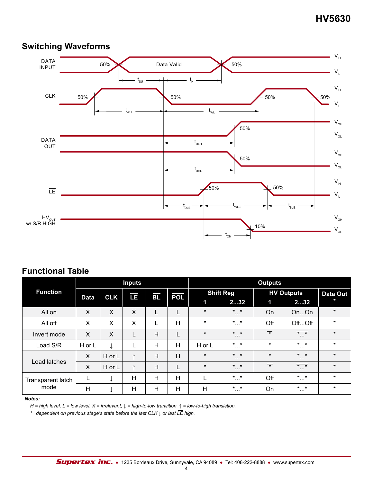## **HV5630**



### **Switching Waveforms**

#### **Functional Table**

|                           |             |              | <b>Inputs</b> |           |            | <b>Outputs</b> |                                                                    |                                        |                             |         |  |
|---------------------------|-------------|--------------|---------------|-----------|------------|----------------|--------------------------------------------------------------------|----------------------------------------|-----------------------------|---------|--|
| <b>Function</b>           | <b>Data</b> | <b>CLK</b>   | LE            | <b>BL</b> | <b>POL</b> |                | <b>Shift Reg</b>                                                   |                                        | <b>HV Outputs</b>           |         |  |
|                           |             |              |               |           |            | 1              | 232                                                                | $\mathbf 1$                            | 232                         | $\ast$  |  |
| All on                    | X           | X            | X             | L         | L          | $\star$        | $*$ $*$<br>$\cdots$                                                | On                                     | OnOn                        | $\star$ |  |
| All off                   | X           | X            | X             | L         | H          | $\star$        | $\star$ $\star$<br>$\cdots$                                        | Off                                    | OffOff                      | $\star$ |  |
| Invert mode               | X           | X            | L             | H         | L          | $\star$        | $\overline{ }$<br>$\overline{}$<br>$*$ $*$<br>$\cdots$<br>$\cdots$ |                                        |                             | $\star$ |  |
| Load S/R                  | H or L      | $\downarrow$ | L             | H         | H          | H or L         | $\star$ $\star$<br>$\cdots$                                        | $\star$<br>$\star$ $\star$<br>$\cdots$ |                             | $\star$ |  |
| Load latches              | X           | H or L       | ↑             | H         | H          | $\star$        | $*$ $*$<br>$\cdots$                                                | $\star$                                | $\star$ $\star$<br>$\cdots$ | $\star$ |  |
|                           | X           | H or L       | ↑             | H         | L          | $\star$        | $\star$ $\star$<br>$\cdots$                                        | $\overline{\phantom{1}}$               | $\overline{}$<br>$\cdots$   | $\star$ |  |
| Transparent latch<br>mode | L           | ↓            | H             | H         | H          |                | $\star$ $\star$<br>$\cdots$                                        | Off                                    | $\star$ $\star$<br>$\cdots$ | $\star$ |  |
|                           | H           | ↓            | H             | H         | H          | H              | $\star$ $\star$<br>$\cdots$                                        | On                                     | $\star$ $\star$<br>$\cdots$ | $\star$ |  |

#### *Notes:*

*H = high level, L = low level, X = irrelevant, ↓ = high-to-low transition, ↑ = low-to-high transistion.*

*\* dependent on previous stage's state before the last CLK ↓ or last LE high.*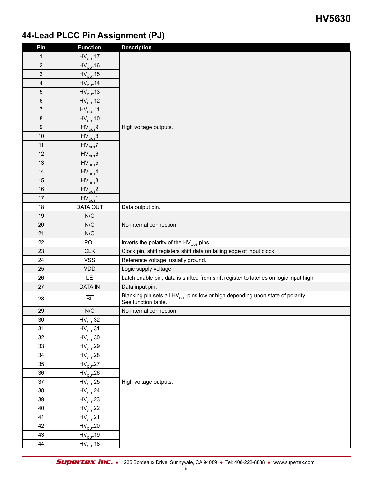### **HV5630**

## **44-Lead PLCC Pin Assignment (PJ)**

| Pin          | <b>Function</b>                        | <b>Description</b>                                                                                         |
|--------------|----------------------------------------|------------------------------------------------------------------------------------------------------------|
| $\mathbf{1}$ | $HV_{OUT}17$                           |                                                                                                            |
| $\sqrt{2}$   | $HV_{OUT}16$                           |                                                                                                            |
| 3            | $HV_{OUT}15$                           |                                                                                                            |
| 4            | $HV_{OUT}$ 14                          |                                                                                                            |
| 5            | $HV_{OUT}13$                           |                                                                                                            |
| 6            | $HV_{OUT}12$                           |                                                                                                            |
| $\sqrt{7}$   | $HV_{OUT}$ 11                          |                                                                                                            |
| $\,8\,$      | $HV_{OUT}10$                           |                                                                                                            |
| $9\,$        | $HV_{OUT}9$                            | High voltage outputs.                                                                                      |
| 10           | $\mathsf{HV}_{\mathsf{OUT}}\mathsf{8}$ |                                                                                                            |
| 11           | $HV_{OUT}Z$                            |                                                                                                            |
| 12           | $HV_{OUT}$ 6                           |                                                                                                            |
| 13           | $HV_{OUT}5$                            |                                                                                                            |
| 14           | $HV_{OUT}4$                            |                                                                                                            |
| 15           | $HV_{OUT}3$                            |                                                                                                            |
| 16           | $HV_{OUT}2$                            |                                                                                                            |
| 17           | $HV_{OUT}1$                            |                                                                                                            |
| 18           | DATA OUT                               | Data output pin.                                                                                           |
| 19           | N/C                                    |                                                                                                            |
| 20           | N/C                                    | No internal connection.                                                                                    |
| 21           | N/C                                    |                                                                                                            |
| 22           | POL                                    | Inverts the polarity of the $HV_{OUT}$ pins                                                                |
| 23           | <b>CLK</b>                             | Clock pin, shift registers shift data on falling edge of input clock.                                      |
| 24           | <b>VSS</b>                             | Reference voltage, usually ground.                                                                         |
| 25           | <b>VDD</b>                             | Logic supply voltage.                                                                                      |
| 26           | ΙE                                     | Latch enable pin, data is shifted from shift register to latches on logic input high.                      |
| 27           | <b>DATA IN</b>                         | Data input pin.                                                                                            |
| 28           | $\overline{BL}$                        | Blanking pin sets all $HV_{OUT}$ pins low or high depending upon state of polarity.<br>See function table. |
| 29           | N/C                                    | No internal connection.                                                                                    |
| $30\,$       | $HV_{OUT}32$                           |                                                                                                            |
| 31           | $HV_{OUT}31$                           |                                                                                                            |
| 32           | $HV_{OUT}30$                           |                                                                                                            |
| 33           | $HV_{OUT}$ 29                          |                                                                                                            |
| 34           | $HV_{OUT}28$                           |                                                                                                            |
| 35           | $HV_{OUT}27$                           |                                                                                                            |
| 36           | $HV_{OUT}26$                           |                                                                                                            |
| 37           | $HV_{OUT}25$                           | High voltage outputs.                                                                                      |
| 38           | $HV_{OUT}$ 24                          |                                                                                                            |
| 39           | $HV_{OUT}$ 23                          |                                                                                                            |
| 40           | $HV_{OUT}$ 22                          |                                                                                                            |
| 41           | $HV_{OUT}$ 21                          |                                                                                                            |
| 42           | $HV_{OUT}$ 20                          |                                                                                                            |
| 43           | $HV_{OUT}19$                           |                                                                                                            |
| 44           | $HV_{OUT}18$                           |                                                                                                            |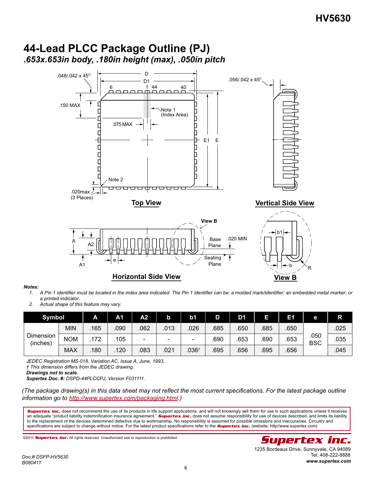

#### **44-Lead PLCC Package Outline (PJ)** *.653x.653in body, .180in height (max), .050in pitch*

#### *Notes:*

- *1. A Pin 1 identifier must be located in the index area indicated. The Pin 1 identifier can be: a molded mark/identifier; an embedded metal marker; or a printed indicator.*
- *2. Actual shape of this feature may vary.*

| <b>Symbol</b>         |            | A    | A <sub>1</sub> | A2   |      | b <sub>1</sub>           | D    | D1   |      | E    | е                  | R    |
|-----------------------|------------|------|----------------|------|------|--------------------------|------|------|------|------|--------------------|------|
| Dimension<br>(inches) | MIN        | 165  | 090            | 062  | .013 | 026                      | 685  | 650  | .685 | .650 |                    | .025 |
|                       | <b>NOM</b> | .172 | 105            | ۰.   | -    | $\overline{\phantom{a}}$ | .690 | 653  | .690 | .653 | .050<br><b>BSC</b> | .035 |
|                       | MAX        | 180  | 120            | .083 | .021 | .036 <sup>†</sup>        | .695 | .656 | .695 | .656 |                    | .045 |

JEDEC Registration MS-018, Variation AC, Issue A, June, 1993.

*† This dimension differs from the JEDEC drawing.*

*Drawings not to scale.*

*Supertex Doc. #: DSPD-44PLCCPJ, Version F031111.*

*(The package drawing(s) in this data sheet may not reflect the most current specifications. For the latest package outline information go to http://www.supertex.com/packaging.html.)*

*Supertex inc.* does not recommend the use of its products in life support applications, and will not knowingly sell them for use in such applications unless it receives an adequate "product liability indemnification insurance agreement." **Supertex inc.** does not assume responsibility for use of devices described, and limits its liability to the replacement of the devices determined defective due to workmanship. No responsibility is assumed for possible omissions and inaccuracies. Circuitry and specifications are subject to change without notice. For the latest product specifications refer to the *Supertex inc.* (website: http//www.supertex.com)

Tel: 408-222-8888 *www.supertex.com*